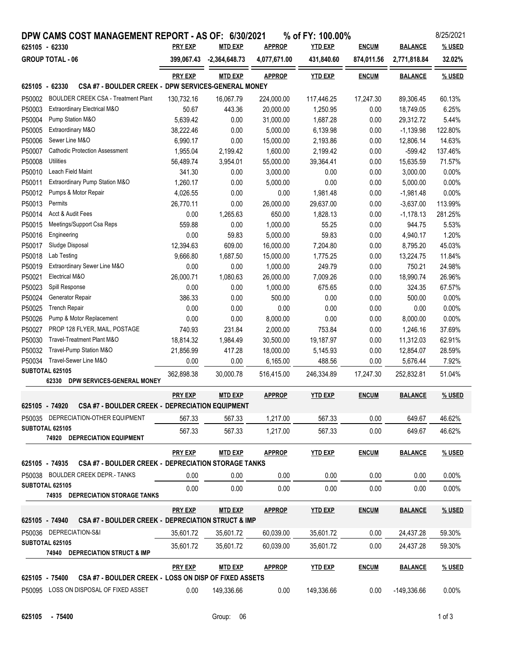|                | DPW CAMS COST MANAGEMENT REPORT - AS OF:                   |                | 6/30/2021       |               | % of FY: 100.00% |              |                | 8/25/2021     |
|----------------|------------------------------------------------------------|----------------|-----------------|---------------|------------------|--------------|----------------|---------------|
| 625105 - 62330 |                                                            | <b>PRY EXP</b> | <b>MTD EXP</b>  | <b>APPROP</b> | <b>YTD EXP</b>   | <b>ENCUM</b> | <b>BALANCE</b> | % USED        |
|                | <b>GROUP TOTAL - 06</b>                                    | 399,067.43     | $-2,364,648.73$ | 4,077,671.00  | 431,840.60       | 874,011.56   | 2,771,818.84   | 32.02%        |
|                |                                                            | <b>PRY EXP</b> | <b>MTD EXP</b>  | <b>APPROP</b> | <b>YTD EXP</b>   | <b>ENCUM</b> | <b>BALANCE</b> | % USED        |
| 625105 - 62330 | CSA #7 - BOULDER CREEK - DPW SERVICES-GENERAL MONEY        |                |                 |               |                  |              |                |               |
| P50002         | <b>BOULDER CREEK CSA - Treatment Plant</b>                 | 130,732.16     | 16,067.79       | 224,000.00    | 117,446.25       | 17,247.30    | 89,306.45      | 60.13%        |
| P50003         | Extraordinary Electrical M&O                               | 50.67          | 443.36          | 20,000.00     | 1,250.95         | 0.00         | 18,749.05      | 6.25%         |
| P50004         | Pump Station M&O                                           | 5,639.42       | 0.00            | 31,000.00     | 1,687.28         | 0.00         | 29,312.72      | 5.44%         |
| P50005         | Extraordinary M&O                                          | 38,222.46      | 0.00            | 5,000.00      | 6,139.98         | 0.00         | $-1,139.98$    | 122.80%       |
| P50006         | Sewer Line M&O                                             | 6,990.17       | 0.00            | 15,000.00     | 2,193.86         | 0.00         | 12,806.14      | 14.63%        |
| P50007         | <b>Cathodic Protection Assessment</b>                      | 1,955.04       | 2,199.42        | 1,600.00      | 2,199.42         | 0.00         | $-599.42$      | 137.46%       |
| P50008         | Utilities                                                  | 56,489.74      | 3,954.01        | 55,000.00     | 39,364.41        | 0.00         | 15,635.59      | 71.57%        |
| P50010         | Leach Field Maint                                          | 341.30         | 0.00            | 3,000.00      | 0.00             | 0.00         | 3,000.00       | 0.00%         |
| P50011         | Extraordinary Pump Station M&O                             | 1,260.17       | 0.00            | 5,000.00      | 0.00             | 0.00         | 5,000.00       | 0.00%         |
| P50012         | Pumps & Motor Repair                                       | 4,026.55       | 0.00            | 0.00          | 1,981.48         | 0.00         | $-1,981.48$    | 0.00%         |
| P50013         | Permits                                                    | 26,770.11      | 0.00            | 26,000.00     | 29,637.00        | 0.00         | $-3,637.00$    | 113.99%       |
| P50014         | Acct & Audit Fees                                          | 0.00           | 1,265.63        | 650.00        | 1,828.13         | 0.00         | $-1,178.13$    | 281.25%       |
| P50015         | Meetings/Support Csa Reps                                  | 559.88         | 0.00            | 1,000.00      | 55.25            | 0.00         | 944.75         | 5.53%         |
| P50016         | Engineering                                                | 0.00           | 59.83           | 5,000.00      | 59.83            | 0.00         | 4,940.17       | 1.20%         |
| P50017         | Sludge Disposal                                            | 12,394.63      | 609.00          | 16.000.00     | 7,204.80         | 0.00         | 8,795.20       | 45.03%        |
| P50018         | Lab Testing                                                | 9,666.80       | 1,687.50        | 15,000.00     | 1,775.25         | 0.00         | 13,224.75      | 11.84%        |
| P50019         | Extraordinary Sewer Line M&O                               | 0.00           | 0.00            | 1,000.00      | 249.79           | 0.00         | 750.21         | 24.98%        |
| P50021         | Electrical M&O                                             | 26,000.71      | 1,080.63        | 26,000.00     | 7,009.26         | 0.00         | 18,990.74      | 26.96%        |
| P50023         | Spill Response                                             | 0.00           | 0.00            | 1,000.00      | 675.65           | 0.00         | 324.35         | 67.57%        |
| P50024         | Generator Repair                                           | 386.33         | 0.00            | 500.00        | 0.00             | 0.00         | 500.00         | 0.00%         |
| P50025         | <b>Trench Repair</b>                                       | 0.00           | 0.00            | 0.00          | 0.00             | 0.00         | 0.00           | 0.00%         |
| P50026         | Pump & Motor Replacement                                   | 0.00           | 0.00            | 8,000.00      | 0.00             | 0.00         | 8,000.00       | 0.00%         |
| P50027         | PROP 128 FLYER, MAIL, POSTAGE                              | 740.93         | 231.84          | 2,000.00      | 753.84           | 0.00         | 1,246.16       | 37.69%        |
| P50030         | Travel-Treatment Plant M&O                                 | 18,814.32      | 1,984.49        | 30,500.00     | 19,187.97        | 0.00         | 11,312.03      | 62.91%        |
| P50032         | Travel-Pump Station M&O                                    | 21,856.99      | 417.28          | 18,000.00     | 5,145.93         | 0.00         | 12,854.07      | 28.59%        |
| P50034         | Travel-Sewer Line M&O                                      | 0.00           | 0.00            | 6.165.00      | 488.56           | 0.00         | 5.676.44       | 7.92%         |
|                | SUBTOTAL 625105                                            |                |                 |               |                  |              |                |               |
|                | 62330<br>DPW SERVICES-GENERAL MONEY                        | 362,898.38     | 30,000.78       | 516,415.00    | 246,334.89       | 17,247.30    | 252,832.81     | 51.04%        |
|                |                                                            | <b>PRY EXP</b> | <b>MTD EXP</b>  | <b>APPROP</b> | <b>YTD EXP</b>   | <b>ENCUM</b> | <b>BALANCE</b> | % USED        |
| 625105 - 74920 | <b>CSA #7 - BOULDER CREEK - DEPRECIATION EQUIPMENT</b>     |                |                 |               |                  |              |                |               |
|                | P50035 DEPRECIATION-OTHER EQUIPMENT                        | 567.33         | 567.33          | 1,217.00      | 567.33           | 0.00         | 649.67         | 46.62%        |
|                | SUBTOTAL 625105<br>74920 DEPRECIATION EQUIPMENT            | 567.33         | 567.33          | 1,217.00      | 567.33           | 0.00         | 649.67         | 46.62%        |
| 625105 - 74935 | <b>CSA #7 - BOULDER CREEK - DEPRECIATION STORAGE TANKS</b> | <b>PRY EXP</b> | <b>MTD EXP</b>  | <u>APPROP</u> | <b>YTD EXP</b>   | <b>ENCUM</b> | <b>BALANCE</b> | % USED        |
|                |                                                            |                |                 |               |                  |              |                |               |
|                | P50038 BOULDER CREEK DEPR.- TANKS                          | 0.00           | 0.00            | 0.00          | 0.00             | 0.00         | 0.00           | $0.00\%$      |
|                | SUBTOTAL 625105<br>74935 DEPRECIATION STORAGE TANKS        | 0.00           | 0.00            | 0.00          | 0.00             | 0.00         | 0.00           | 0.00%         |
|                |                                                            | <b>PRY EXP</b> | <b>MTD EXP</b>  | <b>APPROP</b> | <b>YTD EXP</b>   | <b>ENCUM</b> | <b>BALANCE</b> | % USED        |
| 625105 - 74940 | CSA #7 - BOULDER CREEK - DEPRECIATION STRUCT & IMP         |                |                 |               |                  |              |                |               |
|                | P50036 DEPRECIATION-S&I                                    | 35,601.72      | 35,601.72       | 60,039.00     | 35,601.72        | 0.00         | 24,437.28      | 59.30%        |
|                | SUBTOTAL 625105<br>74940 DEPRECIATION STRUCT & IMP         | 35,601.72      | 35,601.72       | 60,039.00     | 35,601.72        | 0.00         | 24,437.28      | 59.30%        |
|                |                                                            | <b>PRY EXP</b> | <b>MTD EXP</b>  | <b>APPROP</b> | <b>YTD EXP</b>   | <b>ENCUM</b> | <b>BALANCE</b> | <u>% USED</u> |
| 625105 - 75400 | CSA #7 - BOULDER CREEK - LOSS ON DISP OF FIXED ASSETS      |                |                 |               |                  |              |                |               |
|                | P50095 LOSS ON DISPOSAL OF FIXED ASSET                     | 0.00           | 149,336.66      | 0.00          | 149,336.66       | 0.00         | -149,336.66    | 0.00%         |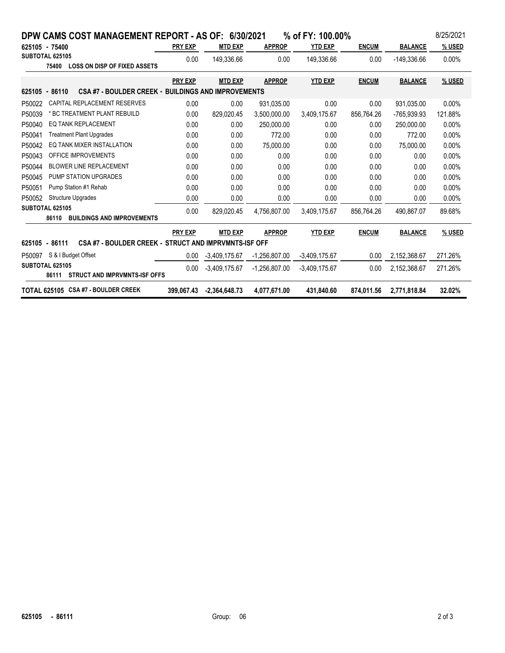| DPW CAMS COST MANAGEMENT REPORT - AS OF: 6/30/2021                           | % of FY: 100.00% |                 |                 |                 |              |                | 8/25/2021     |  |  |  |
|------------------------------------------------------------------------------|------------------|-----------------|-----------------|-----------------|--------------|----------------|---------------|--|--|--|
| 625105 - 75400                                                               | <b>PRY EXP</b>   | <b>MTD EXP</b>  | <b>APPROP</b>   | YTD EXP         | <b>ENCUM</b> | <b>BALANCE</b> | <b>% USED</b> |  |  |  |
| SUBTOTAL 625105<br>75400<br><b>LOSS ON DISP OF FIXED ASSETS</b>              | 0.00             | 149,336.66      | 0.00            | 149,336.66      | 0.00         | -149,336.66    | 0.00%         |  |  |  |
|                                                                              | <b>PRY EXP</b>   | <b>MTD EXP</b>  | <b>APPROP</b>   | <b>YTD EXP</b>  | <b>ENCUM</b> | <b>BALANCE</b> | % USED        |  |  |  |
| <b>CSA #7 - BOULDER CREEK - BUILDINGS AND IMPROVEMENTS</b><br>625105 - 86110 |                  |                 |                 |                 |              |                |               |  |  |  |
| CAPITAL REPLACEMENT RESERVES<br>P50022                                       | 0.00             | 0.00            | 931.035.00      | 0.00            | 0.00         | 931.035.00     | 0.00%         |  |  |  |
| P50039<br>* BC TREATMENT PLANT REBUILD                                       | 0.00             | 829,020.45      | 3,500,000.00    | 3,409,175.67    | 856,764.26   | -765,939.93    | 121.88%       |  |  |  |
| <b>EQ TANK REPLACEMENT</b><br>P50040                                         | 0.00             | 0.00            | 250,000.00      | 0.00            | 0.00         | 250,000.00     | 0.00%         |  |  |  |
| P50041<br><b>Treatment Plant Upgrades</b>                                    | 0.00             | 0.00            | 772.00          | 0.00            | 0.00         | 772.00         | 0.00%         |  |  |  |
| EQ TANK MIXER INSTALLATION<br>P50042                                         | 0.00             | 0.00            | 75.000.00       | 0.00            | 0.00         | 75.000.00      | 0.00%         |  |  |  |
| OFFICE IMPROVEMENTS<br>P50043                                                | 0.00             | 0.00            | 0.00            | 0.00            | 0.00         | 0.00           | 0.00%         |  |  |  |
| P50044<br><b>BLOWER LINE REPLACEMENT</b>                                     | 0.00             | 0.00            | 0.00            | 0.00            | 0.00         | 0.00           | 0.00%         |  |  |  |
| PUMP STATION UPGRADES<br>P50045                                              | 0.00             | 0.00            | 0.00            | 0.00            | 0.00         | 0.00           | 0.00%         |  |  |  |
| P50051<br>Pump Station #1 Rehab                                              | 0.00             | 0.00            | 0.00            | 0.00            | 0.00         | 0.00           | 0.00%         |  |  |  |
| <b>Structure Upgrades</b><br>P50052                                          | 0.00             | 0.00            | 0.00            | 0.00            | 0.00         | 0.00           | 0.00%         |  |  |  |
| SUBTOTAL 625105<br><b>BUILDINGS AND IMPROVEMENTS</b><br>86110                | 0.00             | 829.020.45      | 4.756.807.00    | 3,409,175.67    | 856.764.26   | 490.867.07     | 89.68%        |  |  |  |
|                                                                              | <b>PRY EXP</b>   | <b>MTD EXP</b>  | <b>APPROP</b>   | <b>YTD EXP</b>  | <b>ENCUM</b> | <b>BALANCE</b> | % USED        |  |  |  |
| CSA #7 - BOULDER CREEK - STRUCT AND IMPRVMNTS-ISF OFF<br>625105 - 86111      |                  |                 |                 |                 |              |                |               |  |  |  |
| S & I Budget Offset<br>P50097                                                | 0.00             | $-3,409,175.67$ | $-1.256.807.00$ | $-3,409,175.67$ | 0.00         | 2,152,368.67   | 271.26%       |  |  |  |
| SUBTOTAL 625105<br><b>STRUCT AND IMPRVMNTS ISF OFFS</b><br>86111             | 0.00             | $-3,409,175.67$ | $-1,256,807.00$ | $-3.409.175.67$ | 0.00         | 2,152,368.67   | 271.26%       |  |  |  |
| TOTAL 625105 CSA #7 - BOULDER CREEK                                          | 399.067.43       | $-2.364.648.73$ | 4,077,671.00    | 431.840.60      | 874.011.56   | 2,771,818.84   | 32.02%        |  |  |  |